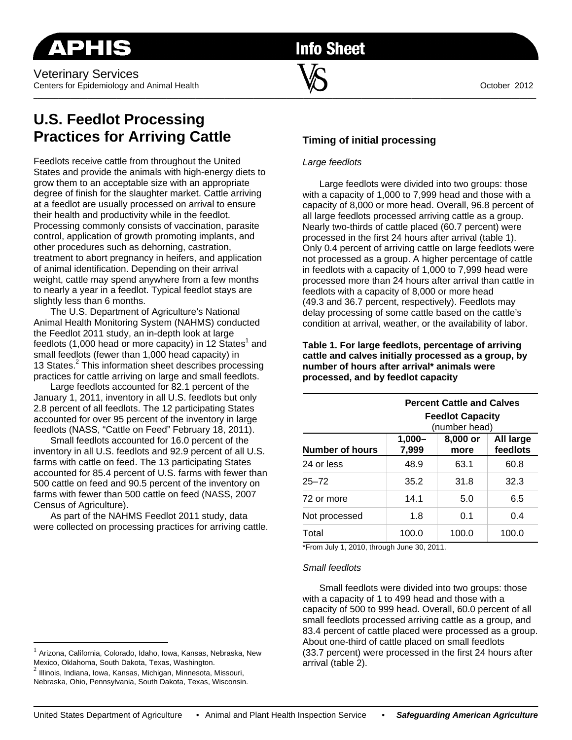# **Info Sheet**

\_\_\_\_\_\_\_\_\_\_\_\_\_\_\_\_\_\_\_\_\_\_\_\_\_\_\_\_\_\_\_\_\_\_\_\_\_\_\_\_\_\_\_\_\_\_\_\_\_\_\_\_\_\_\_\_\_\_\_\_\_\_\_\_\_\_\_\_\_\_\_\_\_\_\_\_\_\_\_\_\_\_\_\_\_\_\_\_\_\_\_\_\_\_\_\_\_\_\_\_\_\_\_\_\_\_\_\_\_\_\_\_\_\_\_\_\_\_\_\_\_

## **U.S. Feedlot Processing Practices for Arriving Cattle**

Feedlots receive cattle from throughout the United States and provide the animals with high-energy diets to grow them to an acceptable size with an appropriate degree of finish for the slaughter market. Cattle arriving at a feedlot are usually processed on arrival to ensure their health and productivity while in the feedlot. Processing commonly consists of vaccination, parasite control, application of growth promoting implants, and other procedures such as dehorning, castration, treatment to abort pregnancy in heifers, and application of animal identification. Depending on their arrival weight, cattle may spend anywhere from a few months to nearly a year in a feedlot. Typical feedlot stays are slightly less than 6 months.

The U.S. Department of Agriculture's National Animal Health Monitoring System (NAHMS) conducted the Feedlot 2011 study, an in-depth look at large feedlots (1,000 head or more capacity) in 12 States<sup>1</sup> and small feedlots (fewer than 1,000 head capacity) in 13 States.<sup>2</sup> This information sheet describes processing practices for cattle arriving on large and small feedlots.

Large feedlots accounted for 82.1 percent of the January 1, 2011, inventory in all U.S. feedlots but only 2.8 percent of all feedlots. The 12 participating States accounted for over 95 percent of the inventory in large feedlots (NASS, "Cattle on Feed" February 18, 2011).

Small feedlots accounted for 16.0 percent of the inventory in all U.S. feedlots and 92.9 percent of all U.S. farms with cattle on feed. The 13 participating States accounted for 85.4 percent of U.S. farms with fewer than 500 cattle on feed and 90.5 percent of the inventory on farms with fewer than 500 cattle on feed (NASS, 2007 Census of Agriculture).

As part of the NAHMS Feedlot 2011 study, data were collected on processing practices for arriving cattle.

#### Arizona, California, Colorado, Idaho, Iowa, Kansas, Nebraska, New Mexico, Oklahoma, South Dakota, Texas, Washington.

 $<sup>2</sup>$  Illinois, Indiana, Iowa, Kansas, Michigan, Minnesota, Missouri,</sup> Nebraska, Ohio, Pennsylvania, South Dakota, Texas, Wisconsin.

## **Timing of initial processing**

### *Large feedlots*

Large feedlots were divided into two groups: those with a capacity of 1,000 to 7,999 head and those with a capacity of 8,000 or more head. Overall, 96.8 percent of all large feedlots processed arriving cattle as a group. Nearly two-thirds of cattle placed (60.7 percent) were processed in the first 24 hours after arrival (table 1). Only 0.4 percent of arriving cattle on large feedlots were not processed as a group. A higher percentage of cattle in feedlots with a capacity of 1,000 to 7,999 head were processed more than 24 hours after arrival than cattle in feedlots with a capacity of 8,000 or more head (49.3 and 36.7 percent, respectively). Feedlots may delay processing of some cattle based on the cattle's condition at arrival, weather, or the availability of labor.

**Table 1. For large feedlots, percentage of arriving cattle and calves initially processed as a group, by number of hours after arrival\* animals were processed, and by feedlot capacity** 

|                        | <b>Percent Cattle and Calves</b><br><b>Feedlot Capacity</b><br>(number head) |                  |                       |  |
|------------------------|------------------------------------------------------------------------------|------------------|-----------------------|--|
| <b>Number of hours</b> | $1,000 -$<br>7,999                                                           | 8,000 or<br>more | All large<br>feedlots |  |
| 24 or less             | 48.9                                                                         | 63.1             | 60.8                  |  |
| $25 - 72$              | 35.2                                                                         | 31.8             | 32.3                  |  |
| 72 or more             | 14.1                                                                         | 5.0              | 6.5                   |  |
| Not processed          | 1.8                                                                          | 0.1              | 0.4                   |  |
| Total                  | 100.0                                                                        | 100.0            | 100.0                 |  |

\*From July 1, 2010, through June 30, 2011.

#### *Small feedlots*

Small feedlots were divided into two groups: those with a capacity of 1 to 499 head and those with a capacity of 500 to 999 head. Overall, 60.0 percent of all small feedlots processed arriving cattle as a group, and 83.4 percent of cattle placed were processed as a group. About one-third of cattle placed on small feedlots (33.7 percent) were processed in the first 24 hours after arrival (table 2).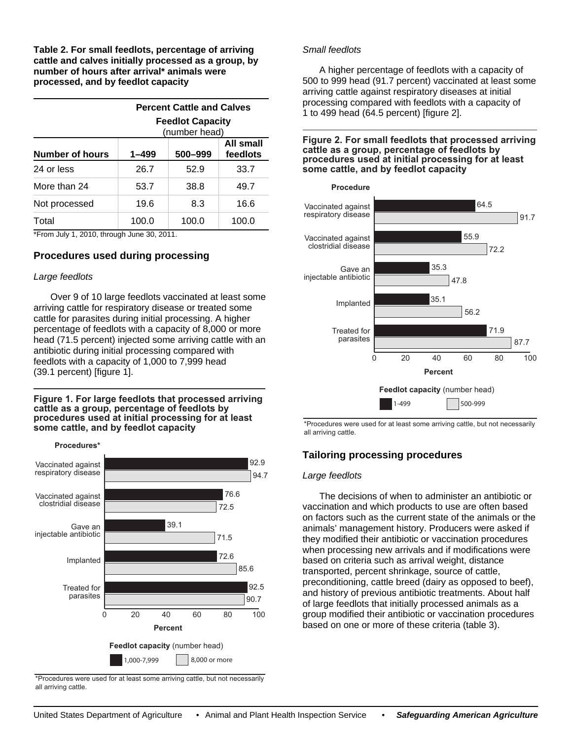**Table 2. For small feedlots, percentage of arriving cattle and calves initially processed as a group, by number of hours after arrival\* animals were processed, and by feedlot capacity** 

|                 | <b>Percent Cattle and Calves</b><br><b>Feedlot Capacity</b><br>(number head) |         |                       |  |
|-----------------|------------------------------------------------------------------------------|---------|-----------------------|--|
| Number of hours | $1 - 499$                                                                    | 500-999 | All small<br>feedlots |  |
| 24 or less      | 26.7                                                                         | 52.9    | 33.7                  |  |
| More than 24    | 53.7                                                                         | 38.8    | 49.7                  |  |
| Not processed   | 19.6                                                                         | 8.3     | 16.6                  |  |
| Total           | 100.0                                                                        | 100.0   | 100.0                 |  |

\*From July 1, 2010, through June 30, 2011.

### **Procedures used during processing**

#### *Large feedlots*

**Procedures\***

Over 9 of 10 large feedlots vaccinated at least some arriving cattle for respiratory disease or treated some cattle for parasites during initial processing. A higher percentage of feedlots with a capacity of 8,000 or more head (71.5 percent) injected some arriving cattle with an antibiotic during initial processing compared with feedlots with a capacity of 1,000 to 7,999 head (39.1 percent) [figure 1].

**Figure 1. For large feedlots that processed arriving cattle as a group, percentage of feedlots by procedures used at initial processing for at least some cattle, and by feedlot capacity**

0 20 40 60 80 100 1,000-7,999 | 8,000 or more Vaccinated against respiratory disease Vaccinated against clostridial disease Gave an injectable antibiotic Implanted Treated for parasites **Percent** 92.9 94.7 76.6 72.5 92.5 **Feedlot capacity** (number head) 39.1 71.5 72.6 85.6 90.7

\*Procedures were used for at least some arriving cattle, but not necessarily all arriving cattle.

#### *Small feedlots*

A higher percentage of feedlots with a capacity of 500 to 999 head (91.7 percent) vaccinated at least some arriving cattle against respiratory diseases at initial processing compared with feedlots with a capacity of 1 to 499 head (64.5 percent) [figure 2].

#### **Figure 2. For small feedlots that processed arriving cattle as a group, percentage of feedlots by procedures used at initial processing for at least some cattle, and by feedlot capacity**



\*Procedures were used for at least some arriving cattle, but not necessarily all arriving cattle.

## **Tailoring processing procedures**

#### *Large feedlots*

The decisions of when to administer an antibiotic or vaccination and which products to use are often based on factors such as the current state of the animals or the animals' management history. Producers were asked if they modified their antibiotic or vaccination procedures when processing new arrivals and if modifications were based on criteria such as arrival weight, distance transported, percent shrinkage, source of cattle, preconditioning, cattle breed (dairy as opposed to beef), and history of previous antibiotic treatments. About half of large feedlots that initially processed animals as a group modified their antibiotic or vaccination procedures based on one or more of these criteria (table 3).